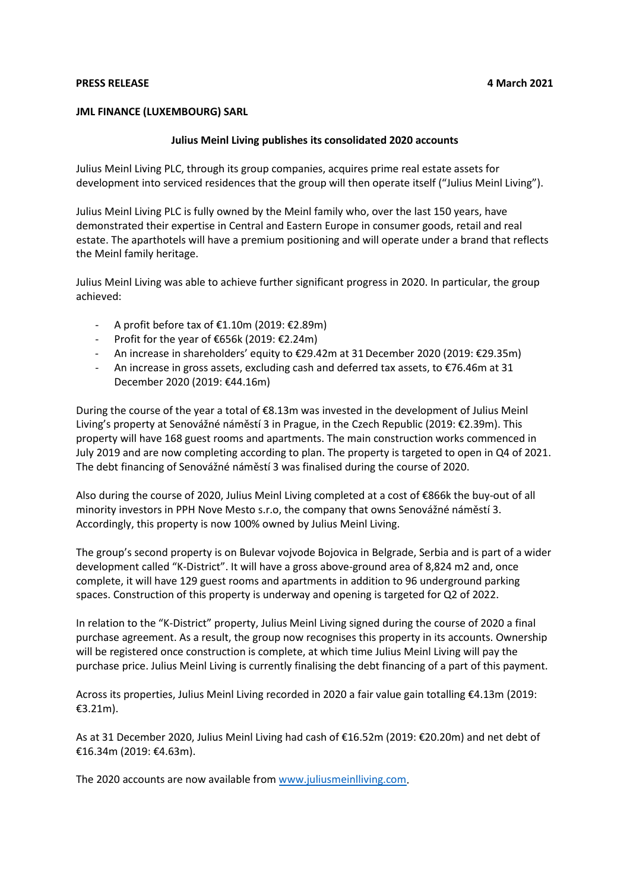## **PRESS RELEASE 4 March 2021**

## **JML FINANCE (LUXEMBOURG) SARL**

## **Julius Meinl Living publishes its consolidated 2020 accounts**

Julius Meinl Living PLC, through its group companies, acquires prime real estate assets for development into serviced residences that the group will then operate itself ("Julius Meinl Living").

Julius Meinl Living PLC is fully owned by the Meinl family who, over the last 150 years, have demonstrated their expertise in Central and Eastern Europe in consumer goods, retail and real estate. The aparthotels will have a premium positioning and will operate under a brand that reflects the Meinl family heritage.

Julius Meinl Living was able to achieve further significant progress in 2020. In particular, the group achieved:

- A profit before tax of €1.10m (2019: €2.89m)
- Profit for the year of €656k (2019: €2.24m)
- An increase in shareholders' equity to €29.42m at 31December 2020 (2019: €29.35m)
- An increase in gross assets, excluding cash and deferred tax assets, to  $\epsilon$ 76.46m at 31 December 2020 (2019: €44.16m)

During the course of the year a total of €8.13m was invested in the development of Julius Meinl Living's property at Senovážné náměstí 3 in Prague, in the Czech Republic (2019: €2.39m). This property will have 168 guest rooms and apartments. The main construction works commenced in July 2019 and are now completing according to plan. The property is targeted to open in Q4 of 2021. The debt financing of Senovážné náměstí 3 was finalised during the course of 2020.

Also during the course of 2020, Julius Meinl Living completed at a cost of €866k the buy-out of all minority investors in PPH Nove Mesto s.r.o, the company that owns Senovážné náměstí 3. Accordingly, this property is now 100% owned by Julius Meinl Living.

The group's second property is on Bulevar vojvode Bojovica in Belgrade, Serbia and is part of a wider development called "K-District". It will have a gross above-ground area of 8,824 m2 and, once complete, it will have 129 guest rooms and apartments in addition to 96 underground parking spaces. Construction of this property is underway and opening is targeted for Q2 of 2022.

In relation to the "K-District" property, Julius Meinl Living signed during the course of 2020 a final purchase agreement. As a result, the group now recognises this property in its accounts. Ownership will be registered once construction is complete, at which time Julius Meinl Living will pay the purchase price. Julius Meinl Living is currently finalising the debt financing of a part of this payment.

Across its properties, Julius Meinl Living recorded in 2020 a fair value gain totalling €4.13m (2019: €3.21m).

As at 31 December 2020, Julius Meinl Living had cash of €16.52m (2019: €20.20m) and net debt of €16.34m (2019: €4.63m).

The 2020 accounts are now available fro[m www.juliusmeinlliving.com.](http://www.juliusmeinlliving.com/)